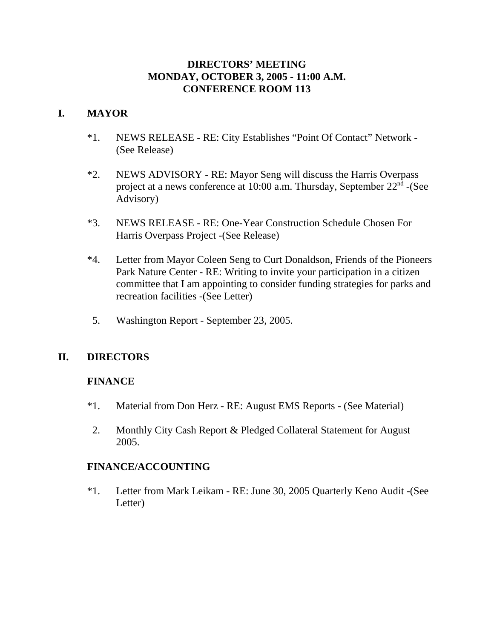# **DIRECTORS' MEETING MONDAY, OCTOBER 3, 2005 - 11:00 A.M. CONFERENCE ROOM 113**

# **I. MAYOR**

- \*1. NEWS RELEASE RE: City Establishes "Point Of Contact" Network (See Release)
- \*2. NEWS ADVISORY RE: Mayor Seng will discuss the Harris Overpass project at a news conference at 10:00 a.m. Thursday, September  $22<sup>nd</sup>$  -(See Advisory)
- \*3. NEWS RELEASE RE: One-Year Construction Schedule Chosen For Harris Overpass Project -(See Release)
- \*4. Letter from Mayor Coleen Seng to Curt Donaldson, Friends of the Pioneers Park Nature Center - RE: Writing to invite your participation in a citizen committee that I am appointing to consider funding strategies for parks and recreation facilities -(See Letter)
- 5. Washington Report September 23, 2005.

# **II. DIRECTORS**

# **FINANCE**

- \*1. Material from Don Herz RE: August EMS Reports (See Material)
- 2. Monthly City Cash Report & Pledged Collateral Statement for August 2005.

# **FINANCE/ACCOUNTING**

\*1. Letter from Mark Leikam - RE: June 30, 2005 Quarterly Keno Audit -(See Letter)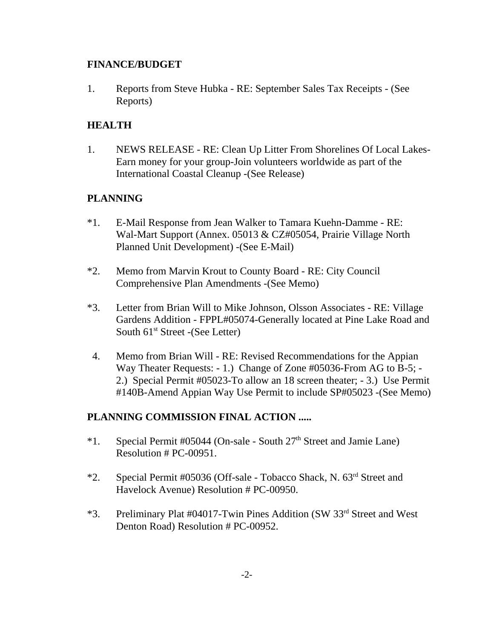# **FINANCE/BUDGET**

1. Reports from Steve Hubka - RE: September Sales Tax Receipts - (See Reports)

# **HEALTH**

1. NEWS RELEASE - RE: Clean Up Litter From Shorelines Of Local Lakes-Earn money for your group-Join volunteers worldwide as part of the International Coastal Cleanup -(See Release)

# **PLANNING**

- \*1. E-Mail Response from Jean Walker to Tamara Kuehn-Damme RE: Wal-Mart Support (Annex. 05013 & CZ#05054, Prairie Village North Planned Unit Development) -(See E-Mail)
- \*2. Memo from Marvin Krout to County Board RE: City Council Comprehensive Plan Amendments -(See Memo)
- \*3. Letter from Brian Will to Mike Johnson, Olsson Associates RE: Village Gardens Addition - FPPL#05074-Generally located at Pine Lake Road and South  $61<sup>st</sup>$  Street -(See Letter)
- 4. Memo from Brian Will RE: Revised Recommendations for the Appian Way Theater Requests: - 1.) Change of Zone #05036-From AG to B-5; - 2.) Special Permit #05023-To allow an 18 screen theater; - 3.) Use Permit #140B-Amend Appian Way Use Permit to include SP#05023 -(See Memo)

# **PLANNING COMMISSION FINAL ACTION .....**

- \*1. Special Permit #05044 (On-sale South  $27<sup>th</sup>$  Street and Jamie Lane) Resolution # PC-00951.
- \*2. Special Permit #05036 (Off-sale Tobacco Shack, N. 63rd Street and Havelock Avenue) Resolution # PC-00950.
- \*3. Preliminary Plat #04017-Twin Pines Addition (SW 33rd Street and West Denton Road) Resolution # PC-00952.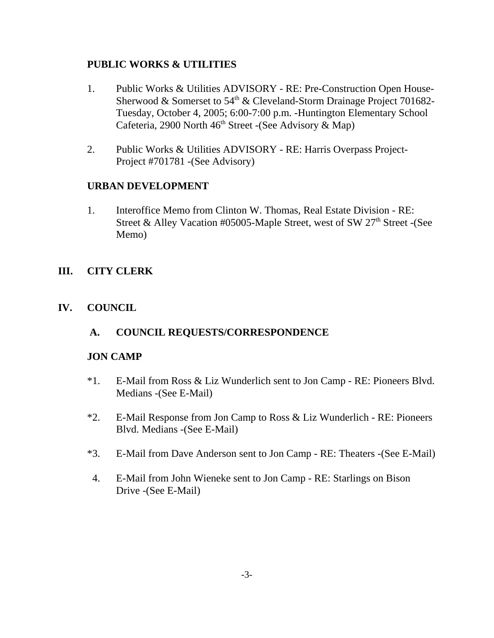# **PUBLIC WORKS & UTILITIES**

- 1. Public Works & Utilities ADVISORY RE: Pre-Construction Open House-Sherwood & Somerset to 54<sup>th</sup> & Cleveland-Storm Drainage Project 701682-Tuesday, October 4, 2005; 6:00-7:00 p.m. -Huntington Elementary School Cafeteria, 2900 North  $46<sup>th</sup>$  Street -(See Advisory & Map)
- 2. Public Works & Utilities ADVISORY RE: Harris Overpass Project-Project #701781 -(See Advisory)

# **URBAN DEVELOPMENT**

1. Interoffice Memo from Clinton W. Thomas, Real Estate Division - RE: Street & Alley Vacation #05005-Maple Street, west of SW  $27<sup>th</sup>$  Street -(See Memo)

# **III. CITY CLERK**

# **IV. COUNCIL**

# **A. COUNCIL REQUESTS/CORRESPONDENCE**

# **JON CAMP**

- \*1. E-Mail from Ross & Liz Wunderlich sent to Jon Camp RE: Pioneers Blvd. Medians -(See E-Mail)
- \*2. E-Mail Response from Jon Camp to Ross & Liz Wunderlich RE: Pioneers Blvd. Medians -(See E-Mail)
- \*3. E-Mail from Dave Anderson sent to Jon Camp RE: Theaters -(See E-Mail)
- 4. E-Mail from John Wieneke sent to Jon Camp RE: Starlings on Bison Drive -(See E-Mail)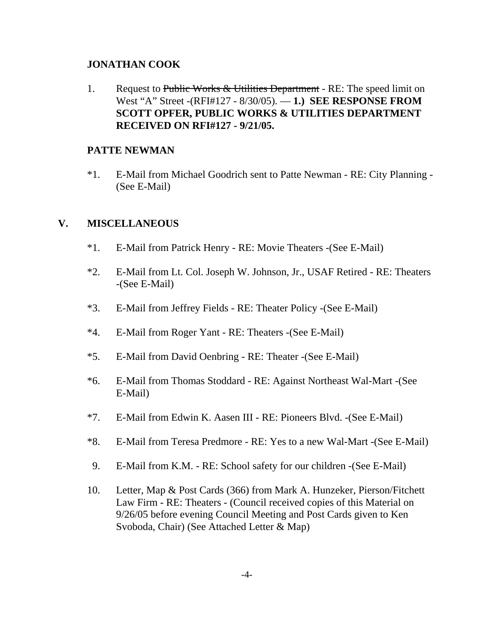#### **JONATHAN COOK**

1. Request to Public Works & Utilities Department - RE: The speed limit on West "A" Street -(RFI#127 - 8/30/05). — **1.) SEE RESPONSE FROM SCOTT OPFER, PUBLIC WORKS & UTILITIES DEPARTMENT RECEIVED ON RFI#127 - 9/21/05.** 

### **PATTE NEWMAN**

\*1. E-Mail from Michael Goodrich sent to Patte Newman - RE: City Planning - (See E-Mail)

# **V. MISCELLANEOUS**

- \*1. E-Mail from Patrick Henry RE: Movie Theaters -(See E-Mail)
- \*2. E-Mail from Lt. Col. Joseph W. Johnson, Jr., USAF Retired RE: Theaters -(See E-Mail)
- \*3. E-Mail from Jeffrey Fields RE: Theater Policy -(See E-Mail)
- \*4. E-Mail from Roger Yant RE: Theaters -(See E-Mail)
- \*5. E-Mail from David Oenbring RE: Theater -(See E-Mail)
- \*6. E-Mail from Thomas Stoddard RE: Against Northeast Wal-Mart -(See E-Mail)
- \*7. E-Mail from Edwin K. Aasen III RE: Pioneers Blvd. -(See E-Mail)
- \*8. E-Mail from Teresa Predmore RE: Yes to a new Wal-Mart -(See E-Mail)
- 9. E-Mail from K.M. RE: School safety for our children -(See E-Mail)
- 10. Letter, Map & Post Cards (366) from Mark A. Hunzeker, Pierson/Fitchett Law Firm - RE: Theaters - (Council received copies of this Material on 9/26/05 before evening Council Meeting and Post Cards given to Ken Svoboda, Chair) (See Attached Letter & Map)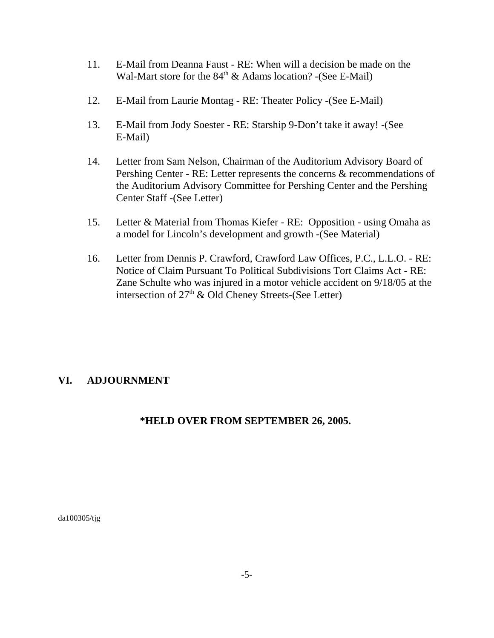- 11. E-Mail from Deanna Faust RE: When will a decision be made on the Wal-Mart store for the  $84<sup>th</sup>$  & Adams location? -(See E-Mail)
- 12. E-Mail from Laurie Montag RE: Theater Policy -(See E-Mail)
- 13. E-Mail from Jody Soester RE: Starship 9-Don't take it away! -(See E-Mail)
- 14. Letter from Sam Nelson, Chairman of the Auditorium Advisory Board of Pershing Center - RE: Letter represents the concerns & recommendations of the Auditorium Advisory Committee for Pershing Center and the Pershing Center Staff -(See Letter)
- 15. Letter & Material from Thomas Kiefer RE: Opposition using Omaha as a model for Lincoln's development and growth -(See Material)
- 16. Letter from Dennis P. Crawford, Crawford Law Offices, P.C., L.L.O. RE: Notice of Claim Pursuant To Political Subdivisions Tort Claims Act - RE: Zane Schulte who was injured in a motor vehicle accident on 9/18/05 at the intersection of  $27<sup>th</sup>$  & Old Cheney Streets-(See Letter)

# **VI. ADJOURNMENT**

# **\*HELD OVER FROM SEPTEMBER 26, 2005.**

da100305/tjg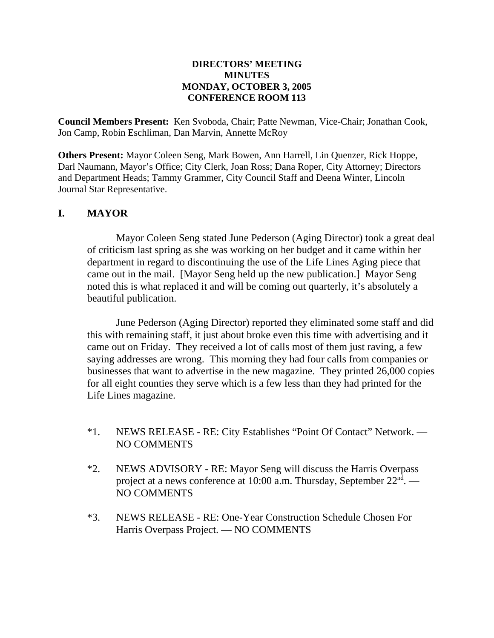#### **DIRECTORS' MEETING MINUTES MONDAY, OCTOBER 3, 2005 CONFERENCE ROOM 113**

**Council Members Present:** Ken Svoboda, Chair; Patte Newman, Vice-Chair; Jonathan Cook, Jon Camp, Robin Eschliman, Dan Marvin, Annette McRoy

**Others Present:** Mayor Coleen Seng, Mark Bowen, Ann Harrell, Lin Quenzer, Rick Hoppe, Darl Naumann, Mayor's Office; City Clerk, Joan Ross; Dana Roper, City Attorney; Directors and Department Heads; Tammy Grammer, City Council Staff and Deena Winter, Lincoln Journal Star Representative.

### **I. MAYOR**

Mayor Coleen Seng stated June Pederson (Aging Director) took a great deal of criticism last spring as she was working on her budget and it came within her department in regard to discontinuing the use of the Life Lines Aging piece that came out in the mail. [Mayor Seng held up the new publication.] Mayor Seng noted this is what replaced it and will be coming out quarterly, it's absolutely a beautiful publication.

June Pederson (Aging Director) reported they eliminated some staff and did this with remaining staff, it just about broke even this time with advertising and it came out on Friday. They received a lot of calls most of them just raving, a few saying addresses are wrong. This morning they had four calls from companies or businesses that want to advertise in the new magazine. They printed 26,000 copies for all eight counties they serve which is a few less than they had printed for the Life Lines magazine.

- \*1. NEWS RELEASE RE: City Establishes "Point Of Contact" Network. NO COMMENTS
- \*2. NEWS ADVISORY RE: Mayor Seng will discuss the Harris Overpass project at a news conference at 10:00 a.m. Thursday, September  $22^{\text{nd}}$ . — NO COMMENTS
- \*3. NEWS RELEASE RE: One-Year Construction Schedule Chosen For Harris Overpass Project. — NO COMMENTS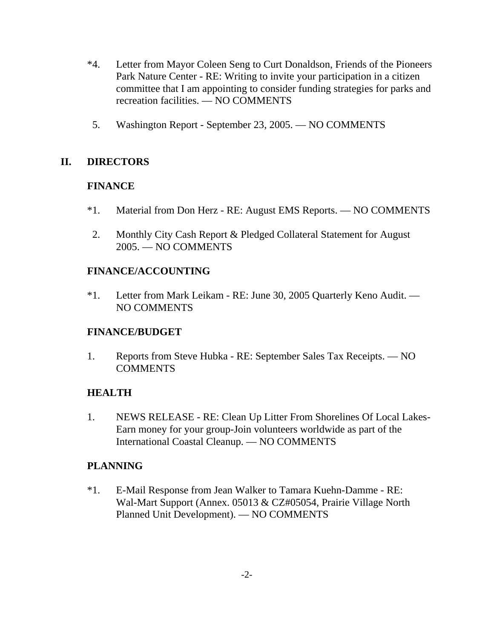- \*4. Letter from Mayor Coleen Seng to Curt Donaldson, Friends of the Pioneers Park Nature Center - RE: Writing to invite your participation in a citizen committee that I am appointing to consider funding strategies for parks and recreation facilities. — NO COMMENTS
- 5. Washington Report September 23, 2005. NO COMMENTS

# **II. DIRECTORS**

# **FINANCE**

- \*1. Material from Don Herz RE: August EMS Reports. NO COMMENTS
- 2. Monthly City Cash Report & Pledged Collateral Statement for August 2005. — NO COMMENTS

# **FINANCE/ACCOUNTING**

\*1. Letter from Mark Leikam - RE: June 30, 2005 Quarterly Keno Audit. — NO COMMENTS

# **FINANCE/BUDGET**

1. Reports from Steve Hubka - RE: September Sales Tax Receipts. — NO COMMENTS

# **HEALTH**

1. NEWS RELEASE - RE: Clean Up Litter From Shorelines Of Local Lakes-Earn money for your group-Join volunteers worldwide as part of the International Coastal Cleanup. — NO COMMENTS

# **PLANNING**

\*1. E-Mail Response from Jean Walker to Tamara Kuehn-Damme - RE: Wal-Mart Support (Annex. 05013 & CZ#05054, Prairie Village North Planned Unit Development). — NO COMMENTS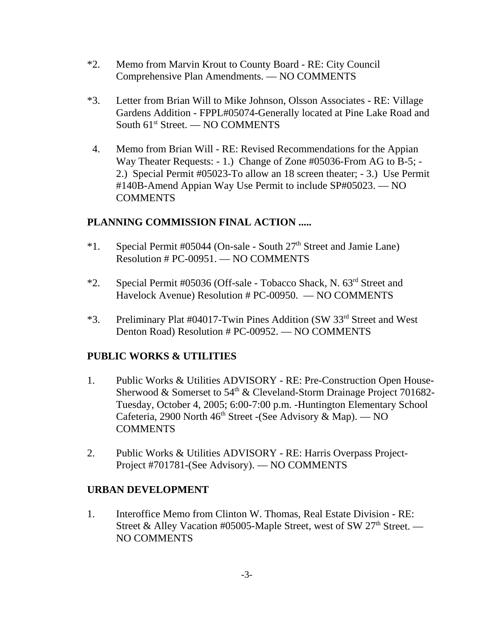- \*2. Memo from Marvin Krout to County Board RE: City Council Comprehensive Plan Amendments. — NO COMMENTS
- \*3. Letter from Brian Will to Mike Johnson, Olsson Associates RE: Village Gardens Addition - FPPL#05074-Generally located at Pine Lake Road and South  $61<sup>st</sup>$  Street. — NO COMMENTS
- 4. Memo from Brian Will RE: Revised Recommendations for the Appian Way Theater Requests: - 1.) Change of Zone #05036-From AG to B-5; - 2.) Special Permit #05023-To allow an 18 screen theater; - 3.) Use Permit #140B-Amend Appian Way Use Permit to include SP#05023. — NO **COMMENTS**

# **PLANNING COMMISSION FINAL ACTION .....**

- \*1. Special Permit #05044 (On-sale South  $27<sup>th</sup>$  Street and Jamie Lane) Resolution # PC-00951. — NO COMMENTS
- \*2. Special Permit #05036 (Off-sale Tobacco Shack, N. 63rd Street and Havelock Avenue) Resolution # PC-00950. — NO COMMENTS
- \*3. Preliminary Plat #04017-Twin Pines Addition (SW 33rd Street and West Denton Road) Resolution # PC-00952. — NO COMMENTS

# **PUBLIC WORKS & UTILITIES**

- 1. Public Works & Utilities ADVISORY RE: Pre-Construction Open House-Sherwood & Somerset to  $54<sup>th</sup>$  & Cleveland-Storm Drainage Project 701682-Tuesday, October 4, 2005; 6:00-7:00 p.m. -Huntington Elementary School Cafeteria, 2900 North  $46<sup>th</sup>$  Street -(See Advisory & Map). — NO **COMMENTS**
- 2. Public Works & Utilities ADVISORY RE: Harris Overpass Project-Project #701781-(See Advisory). — NO COMMENTS

# **URBAN DEVELOPMENT**

1. Interoffice Memo from Clinton W. Thomas, Real Estate Division - RE: Street & Alley Vacation #05005-Maple Street, west of SW  $27<sup>th</sup>$  Street. — NO COMMENTS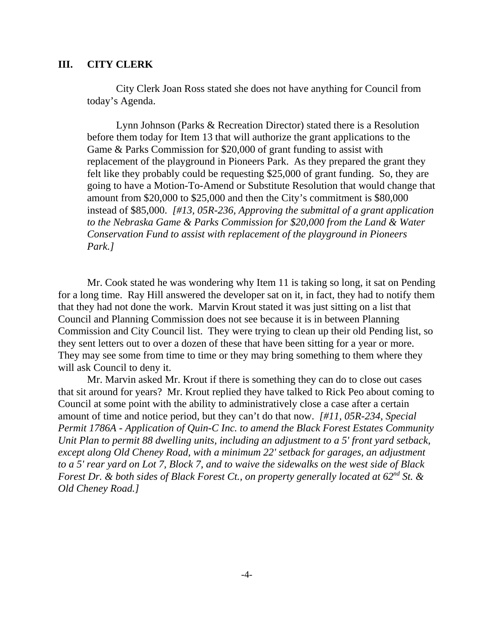#### **III. CITY CLERK**

City Clerk Joan Ross stated she does not have anything for Council from today's Agenda.

Lynn Johnson (Parks & Recreation Director) stated there is a Resolution before them today for Item 13 that will authorize the grant applications to the Game & Parks Commission for \$20,000 of grant funding to assist with replacement of the playground in Pioneers Park. As they prepared the grant they felt like they probably could be requesting \$25,000 of grant funding. So, they are going to have a Motion-To-Amend or Substitute Resolution that would change that amount from \$20,000 to \$25,000 and then the City's commitment is \$80,000 instead of \$85,000. *[#13, 05R-236, Approving the submittal of a grant application to the Nebraska Game & Parks Commission for \$20,000 from the Land & Water Conservation Fund to assist with replacement of the playground in Pioneers Park.]* 

Mr. Cook stated he was wondering why Item 11 is taking so long, it sat on Pending for a long time. Ray Hill answered the developer sat on it, in fact, they had to notify them that they had not done the work. Marvin Krout stated it was just sitting on a list that Council and Planning Commission does not see because it is in between Planning Commission and City Council list. They were trying to clean up their old Pending list, so they sent letters out to over a dozen of these that have been sitting for a year or more. They may see some from time to time or they may bring something to them where they will ask Council to deny it.

Mr. Marvin asked Mr. Krout if there is something they can do to close out cases that sit around for years? Mr. Krout replied they have talked to Rick Peo about coming to Council at some point with the ability to administratively close a case after a certain amount of time and notice period, but they can't do that now. *[#11, 05R-234, Special Permit 1786A - Application of Quin-C Inc. to amend the Black Forest Estates Community Unit Plan to permit 88 dwelling units, including an adjustment to a 5' front yard setback, except along Old Cheney Road, with a minimum 22' setback for garages, an adjustment to a 5' rear yard on Lot 7, Block 7, and to waive the sidewalks on the west side of Black Forest Dr. & both sides of Black Forest Ct., on property generally located at 62nd St. & Old Cheney Road.]*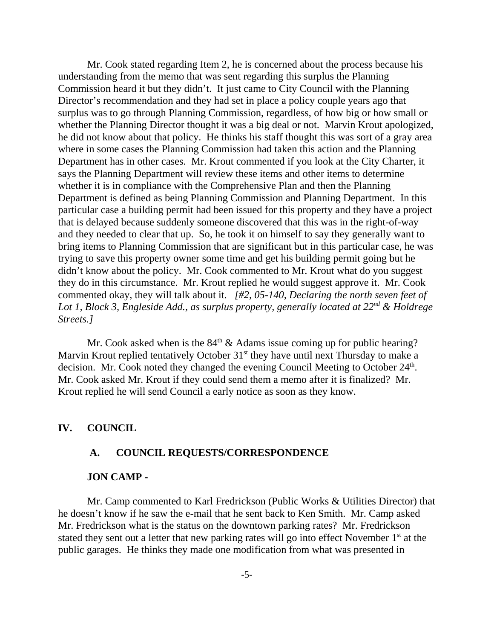Mr. Cook stated regarding Item 2, he is concerned about the process because his understanding from the memo that was sent regarding this surplus the Planning Commission heard it but they didn't. It just came to City Council with the Planning Director's recommendation and they had set in place a policy couple years ago that surplus was to go through Planning Commission, regardless, of how big or how small or whether the Planning Director thought it was a big deal or not. Marvin Krout apologized, he did not know about that policy. He thinks his staff thought this was sort of a gray area where in some cases the Planning Commission had taken this action and the Planning Department has in other cases. Mr. Krout commented if you look at the City Charter, it says the Planning Department will review these items and other items to determine whether it is in compliance with the Comprehensive Plan and then the Planning Department is defined as being Planning Commission and Planning Department. In this particular case a building permit had been issued for this property and they have a project that is delayed because suddenly someone discovered that this was in the right-of-way and they needed to clear that up. So, he took it on himself to say they generally want to bring items to Planning Commission that are significant but in this particular case, he was trying to save this property owner some time and get his building permit going but he didn't know about the policy. Mr. Cook commented to Mr. Krout what do you suggest they do in this circumstance. Mr. Krout replied he would suggest approve it. Mr. Cook commented okay, they will talk about it. *[#2, 05-140, Declaring the north seven feet of Lot 1, Block 3, Engleside Add., as surplus property, generally located at 22nd & Holdrege Streets.]* 

Mr. Cook asked when is the  $84<sup>th</sup>$  & Adams issue coming up for public hearing? Marvin Krout replied tentatively October  $31<sup>st</sup>$  they have until next Thursday to make a decision. Mr. Cook noted they changed the evening Council Meeting to October 24<sup>th</sup>. Mr. Cook asked Mr. Krout if they could send them a memo after it is finalized? Mr. Krout replied he will send Council a early notice as soon as they know.

#### **IV. COUNCIL**

#### **A. COUNCIL REQUESTS/CORRESPONDENCE**

#### **JON CAMP -**

Mr. Camp commented to Karl Fredrickson (Public Works & Utilities Director) that he doesn't know if he saw the e-mail that he sent back to Ken Smith. Mr. Camp asked Mr. Fredrickson what is the status on the downtown parking rates? Mr. Fredrickson stated they sent out a letter that new parking rates will go into effect November  $1<sup>st</sup>$  at the public garages. He thinks they made one modification from what was presented in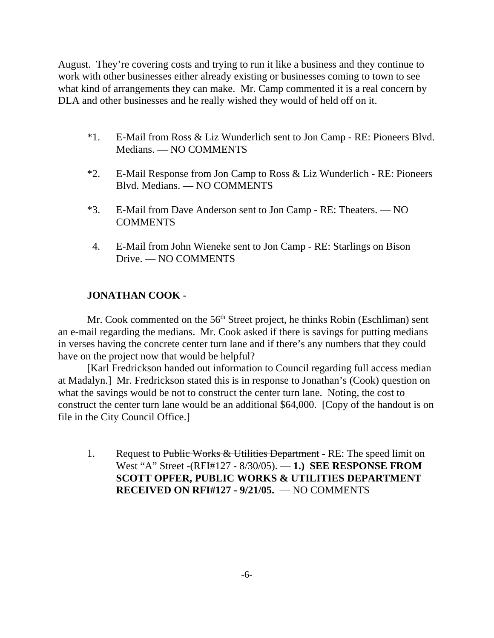August. They're covering costs and trying to run it like a business and they continue to work with other businesses either already existing or businesses coming to town to see what kind of arrangements they can make. Mr. Camp commented it is a real concern by DLA and other businesses and he really wished they would of held off on it.

- \*1. E-Mail from Ross & Liz Wunderlich sent to Jon Camp RE: Pioneers Blvd. Medians. — NO COMMENTS
- \*2. E-Mail Response from Jon Camp to Ross & Liz Wunderlich RE: Pioneers Blvd. Medians. — NO COMMENTS
- \*3. E-Mail from Dave Anderson sent to Jon Camp RE: Theaters. NO COMMENTS
- 4. E-Mail from John Wieneke sent to Jon Camp RE: Starlings on Bison Drive. — NO COMMENTS

# **JONATHAN COOK -**

Mr. Cook commented on the 56<sup>th</sup> Street project, he thinks Robin (Eschliman) sent an e-mail regarding the medians. Mr. Cook asked if there is savings for putting medians in verses having the concrete center turn lane and if there's any numbers that they could have on the project now that would be helpful?

[Karl Fredrickson handed out information to Council regarding full access median at Madalyn.] Mr. Fredrickson stated this is in response to Jonathan's (Cook) question on what the savings would be not to construct the center turn lane. Noting, the cost to construct the center turn lane would be an additional \$64,000. [Copy of the handout is on file in the City Council Office.]

1. Request to Public Works & Utilities Department - RE: The speed limit on West "A" Street -(RFI#127 - 8/30/05). — **1.) SEE RESPONSE FROM SCOTT OPFER, PUBLIC WORKS & UTILITIES DEPARTMENT RECEIVED ON RFI#127 - 9/21/05.** — NO COMMENTS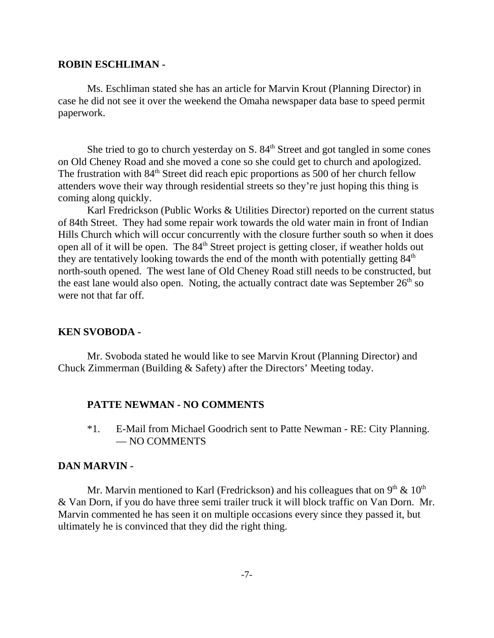#### **ROBIN ESCHLIMAN -**

Ms. Eschliman stated she has an article for Marvin Krout (Planning Director) in case he did not see it over the weekend the Omaha newspaper data base to speed permit paperwork.

She tried to go to church yesterday on  $S. 84<sup>th</sup>$  Street and got tangled in some cones on Old Cheney Road and she moved a cone so she could get to church and apologized. The frustration with  $84<sup>th</sup>$  Street did reach epic proportions as 500 of her church fellow attenders wove their way through residential streets so they're just hoping this thing is coming along quickly.

Karl Fredrickson (Public Works & Utilities Director) reported on the current status of 84th Street. They had some repair work towards the old water main in front of Indian Hills Church which will occur concurrently with the closure further south so when it does open all of it will be open. The 84<sup>th</sup> Street project is getting closer, if weather holds out they are tentatively looking towards the end of the month with potentially getting  $84<sup>th</sup>$ north-south opened. The west lane of Old Cheney Road still needs to be constructed, but the east lane would also open. Noting, the actually contract date was September  $26<sup>th</sup>$  so were not that far off.

#### **KEN SVOBODA -**

Mr. Svoboda stated he would like to see Marvin Krout (Planning Director) and Chuck Zimmerman (Building & Safety) after the Directors' Meeting today.

#### **PATTE NEWMAN - NO COMMENTS**

\*1. E-Mail from Michael Goodrich sent to Patte Newman - RE: City Planning. — NO COMMENTS

#### **DAN MARVIN -**

Mr. Marvin mentioned to Karl (Fredrickson) and his colleagues that on  $9<sup>th</sup> \& 10<sup>th</sup>$ & Van Dorn, if you do have three semi trailer truck it will block traffic on Van Dorn. Mr. Marvin commented he has seen it on multiple occasions every since they passed it, but ultimately he is convinced that they did the right thing.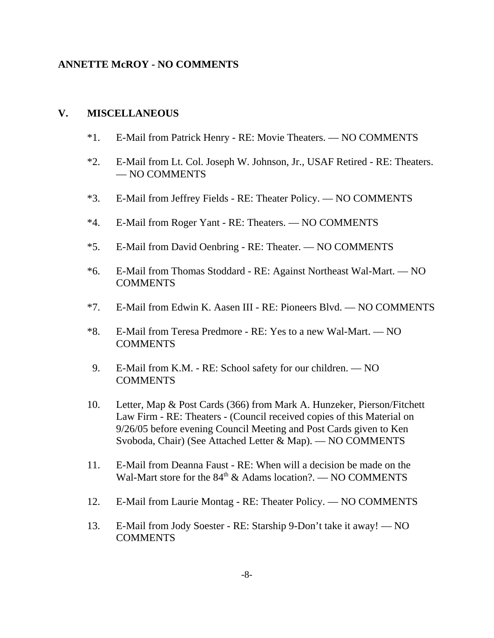### **ANNETTE McROY - NO COMMENTS**

#### **V. MISCELLANEOUS**

- \*1. E-Mail from Patrick Henry RE: Movie Theaters. NO COMMENTS
- \*2. E-Mail from Lt. Col. Joseph W. Johnson, Jr., USAF Retired RE: Theaters. — NO COMMENTS
- \*3. E-Mail from Jeffrey Fields RE: Theater Policy. NO COMMENTS
- \*4. E-Mail from Roger Yant RE: Theaters. NO COMMENTS
- \*5. E-Mail from David Oenbring RE: Theater. NO COMMENTS
- \*6. E-Mail from Thomas Stoddard RE: Against Northeast Wal-Mart. NO COMMENTS
- \*7. E-Mail from Edwin K. Aasen III RE: Pioneers Blvd. NO COMMENTS
- \*8. E-Mail from Teresa Predmore RE: Yes to a new Wal-Mart. NO **COMMENTS**
- 9. E-Mail from K.M. RE: School safety for our children. NO **COMMENTS**
- 10. Letter, Map & Post Cards (366) from Mark A. Hunzeker, Pierson/Fitchett Law Firm - RE: Theaters - (Council received copies of this Material on 9/26/05 before evening Council Meeting and Post Cards given to Ken Svoboda, Chair) (See Attached Letter & Map). — NO COMMENTS
- 11. E-Mail from Deanna Faust RE: When will a decision be made on the Wal-Mart store for the  $84<sup>th</sup>$  & Adams location?. — NO COMMENTS
- 12. E-Mail from Laurie Montag RE: Theater Policy. NO COMMENTS
- 13. E-Mail from Jody Soester RE: Starship 9-Don't take it away! NO COMMENTS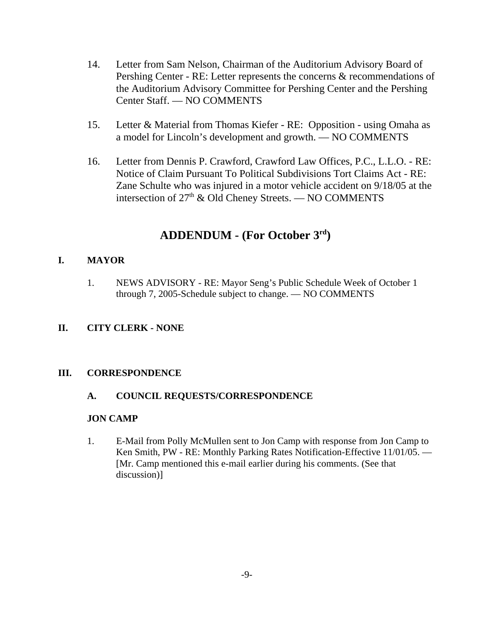- 14. Letter from Sam Nelson, Chairman of the Auditorium Advisory Board of Pershing Center - RE: Letter represents the concerns & recommendations of the Auditorium Advisory Committee for Pershing Center and the Pershing Center Staff. — NO COMMENTS
- 15. Letter & Material from Thomas Kiefer RE: Opposition using Omaha as a model for Lincoln's development and growth. — NO COMMENTS
- 16. Letter from Dennis P. Crawford, Crawford Law Offices, P.C., L.L.O. RE: Notice of Claim Pursuant To Political Subdivisions Tort Claims Act - RE: Zane Schulte who was injured in a motor vehicle accident on 9/18/05 at the intersection of  $27<sup>th</sup>$  & Old Cheney Streets. — NO COMMENTS

# **ADDENDUM - (For October 3rd)**

### **I. MAYOR**

1. NEWS ADVISORY - RE: Mayor Seng's Public Schedule Week of October 1 through 7, 2005-Schedule subject to change. — NO COMMENTS

# **II. CITY CLERK - NONE**

#### **III. CORRESPONDENCE**

#### **A. COUNCIL REQUESTS/CORRESPONDENCE**

#### **JON CAMP**

1. E-Mail from Polly McMullen sent to Jon Camp with response from Jon Camp to Ken Smith, PW - RE: Monthly Parking Rates Notification-Effective 11/01/05. — [Mr. Camp mentioned this e-mail earlier during his comments. (See that discussion)]